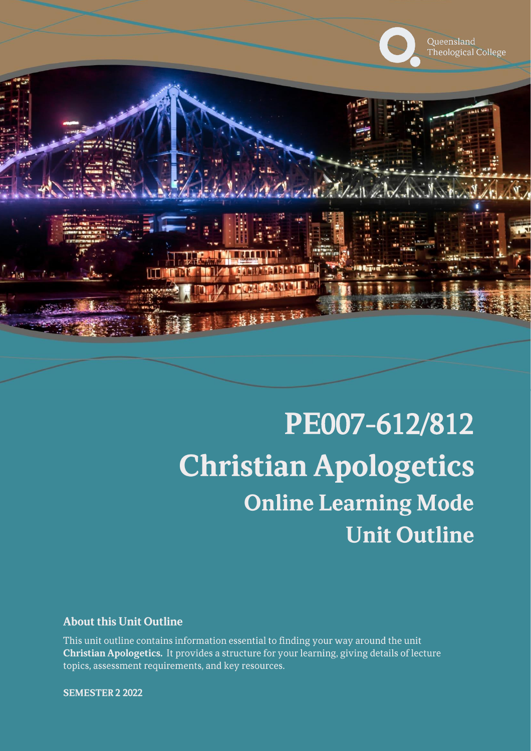

# PE007-612/812 **Christian Apologetics Online Learning Mode Unit Outline**

### **About this Unit Outline**

This unit outline contains information essential to finding your way around the unit Christian Apologetics. It provides a structure for your learning, giving details of lecture topics, assessment requirements, and key resources.

**SEMESTER 2 2022**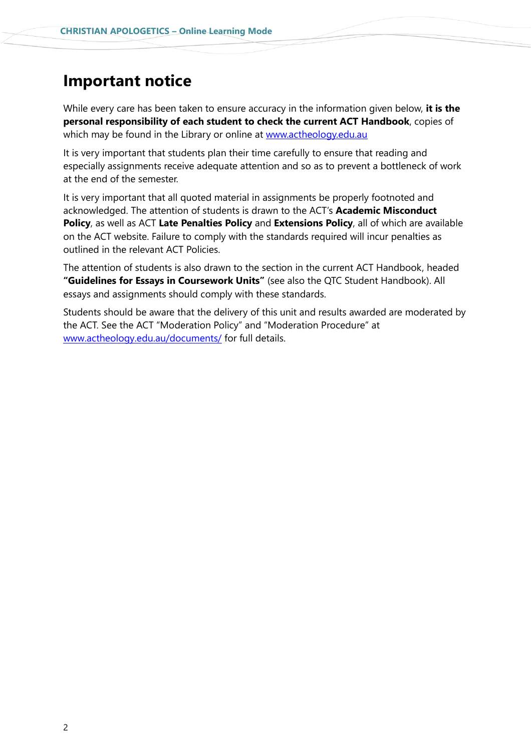## **Important notice**

While every care has been taken to ensure accuracy in the information given below, **it is the personal responsibility of each student to check the current ACT Handbook**, copies of which may be found in the Library or online at [www.actheology.edu.au](http://www.actheology.edu.au/)

It is very important that students plan their time carefully to ensure that reading and especially assignments receive adequate attention and so as to prevent a bottleneck of work at the end of the semester.

It is very important that all quoted material in assignments be properly footnoted and acknowledged. The attention of students is drawn to the ACT's **Academic Misconduct Policy**, as well as ACT **Late Penalties Policy** and **Extensions Policy**, all of which are available on the ACT website. Failure to comply with the standards required will incur penalties as outlined in the relevant ACT Policies.

The attention of students is also drawn to the section in the current ACT Handbook, headed **"Guidelines for Essays in Coursework Units"** (see also the QTC Student Handbook). All essays and assignments should comply with these standards.

Students should be aware that the delivery of this unit and results awarded are moderated by the ACT. See the ACT "Moderation Policy" and "Moderation Procedure" at [www.actheology.edu.au/documents/](http://www.actheology.edu.au/documents/) for full details.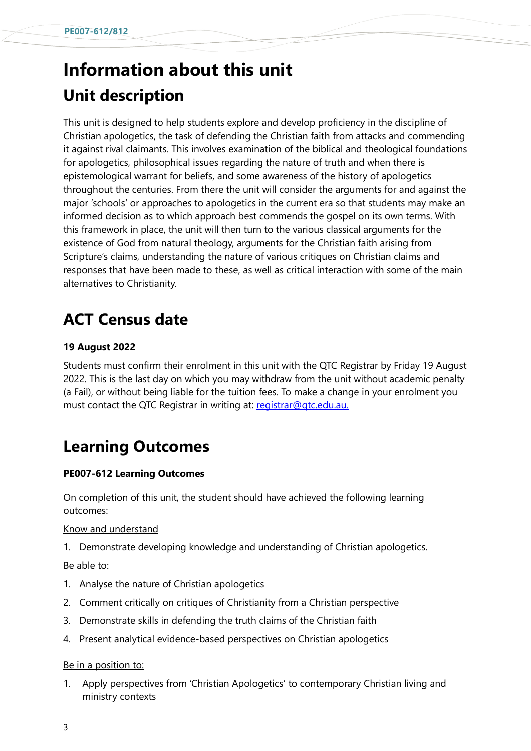## **Information about this unit Unit description**

This unit is designed to help students explore and develop proficiency in the discipline of Christian apologetics, the task of defending the Christian faith from attacks and commending it against rival claimants. This involves examination of the biblical and theological foundations for apologetics, philosophical issues regarding the nature of truth and when there is epistemological warrant for beliefs, and some awareness of the history of apologetics throughout the centuries. From there the unit will consider the arguments for and against the major 'schools' or approaches to apologetics in the current era so that students may make an informed decision as to which approach best commends the gospel on its own terms. With this framework in place, the unit will then turn to the various classical arguments for the existence of God from natural theology, arguments for the Christian faith arising from Scripture's claims, understanding the nature of various critiques on Christian claims and responses that have been made to these, as well as critical interaction with some of the main alternatives to Christianity.

## **ACT Census date**

### **19 August 2022**

Students must confirm their enrolment in this unit with the QTC Registrar by Friday 19 August 2022. This is the last day on which you may withdraw from the unit without academic penalty (a Fail), or without being liable for the tuition fees. To make a change in your enrolment you must contact the QTC Registrar in writing at: [registrar@qtc.edu.au.](mailto:registrar@qtc.edu.au)

## **Learning Outcomes**

### **PE007-612 Learning Outcomes**

On completion of this unit, the student should have achieved the following learning outcomes:

### Know and understand

1. [Demonstrate](https://www.actheology.edu.au/unit/PE007-612/#demonstrate) [developing](https://www.actheology.edu.au/unit/PE007-612/#developing) knowledge and understanding of Christian apologetics.

### Be able to:

- 1. [Analyse](https://www.actheology.edu.au/unit/PE007-612/#analyse) the nature of Christian apologetics
- 2. Comment [critically](https://www.actheology.edu.au/unit/PE007-612/#critically) on [critiques](https://www.actheology.edu.au/unit/PE007-612/#critique) of Christianity from a Christian perspective
- 3. [Demonstrate](https://www.actheology.edu.au/unit/PE007-612/#demonstrate) skills in defending the truth claims of the Christian faith
- 4. Present [analytical](https://www.actheology.edu.au/unit/PE007-612/#analytical) evidence-based perspectives on Christian apologetics

### Be in a position to:

1. Apply perspectives from 'Christian Apologetics' to contemporary Christian living and ministry contexts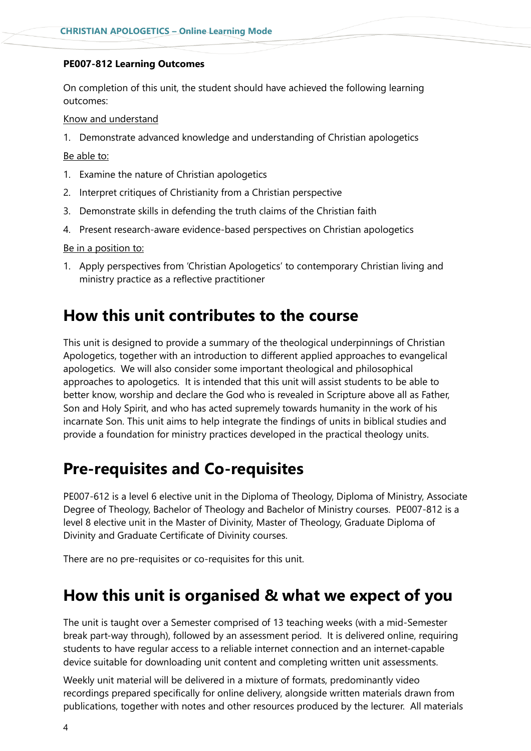### **PE007-812 Learning Outcomes**

On completion of this unit, the student should have achieved the following learning outcomes:

### Know and understand

1. Demonstrate advanced knowledge and understanding of Christian apologetics

#### Be able to:

- 1. Examine the nature of Christian apologetics
- 2. Interpret critiques of Christianity from a Christian perspective
- 3. Demonstrate skills in defending the truth claims of the Christian faith
- 4. Present research-aware evidence-based perspectives on Christian apologetics

### Be in a position to:

1. Apply perspectives from 'Christian Apologetics' to contemporary Christian living and ministry practice as a reflective practitioner

### **How this unit contributes to the course**

This unit is designed to provide a summary of the theological underpinnings of Christian Apologetics, together with an introduction to different applied approaches to evangelical apologetics. We will also consider some important theological and philosophical approaches to apologetics. It is intended that this unit will assist students to be able to better know, worship and declare the God who is revealed in Scripture above all as Father, Son and Holy Spirit, and who has acted supremely towards humanity in the work of his incarnate Son. This unit aims to help integrate the findings of units in biblical studies and provide a foundation for ministry practices developed in the practical theology units.

### **Pre-requisites and Co-requisites**

PE007-612 is a level 6 elective unit in the Diploma of Theology, Diploma of Ministry, Associate Degree of Theology, Bachelor of Theology and Bachelor of Ministry courses. PE007-812 is a level 8 elective unit in the Master of Divinity, Master of Theology, Graduate Diploma of Divinity and Graduate Certificate of Divinity courses.

There are no pre-requisites or co-requisites for this unit.

### **How this unit is organised & what we expect of you**

The unit is taught over a Semester comprised of 13 teaching weeks (with a mid-Semester break part-way through), followed by an assessment period. It is delivered online, requiring students to have regular access to a reliable internet connection and an internet-capable device suitable for downloading unit content and completing written unit assessments.

Weekly unit material will be delivered in a mixture of formats, predominantly video recordings prepared specifically for online delivery, alongside written materials drawn from publications, together with notes and other resources produced by the lecturer. All materials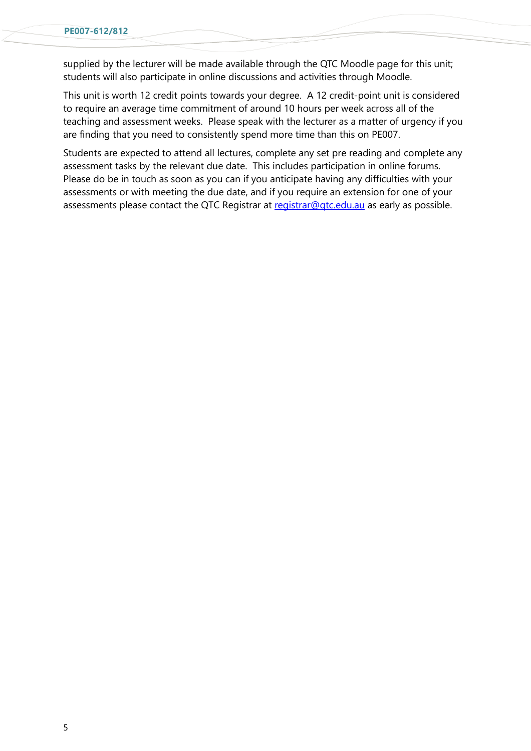supplied by the lecturer will be made available through the QTC Moodle page for this unit; students will also participate in online discussions and activities through Moodle.

This unit is worth 12 credit points towards your degree. A 12 credit-point unit is considered to require an average time commitment of around 10 hours per week across all of the teaching and assessment weeks. Please speak with the lecturer as a matter of urgency if you are finding that you need to consistently spend more time than this on PE007.

Students are expected to attend all lectures, complete any set pre reading and complete any assessment tasks by the relevant due date. This includes participation in online forums. Please do be in touch as soon as you can if you anticipate having any difficulties with your assessments or with meeting the due date, and if you require an extension for one of your assessments please contact the QTC Registrar at registrar@gtc.edu.au as early as possible.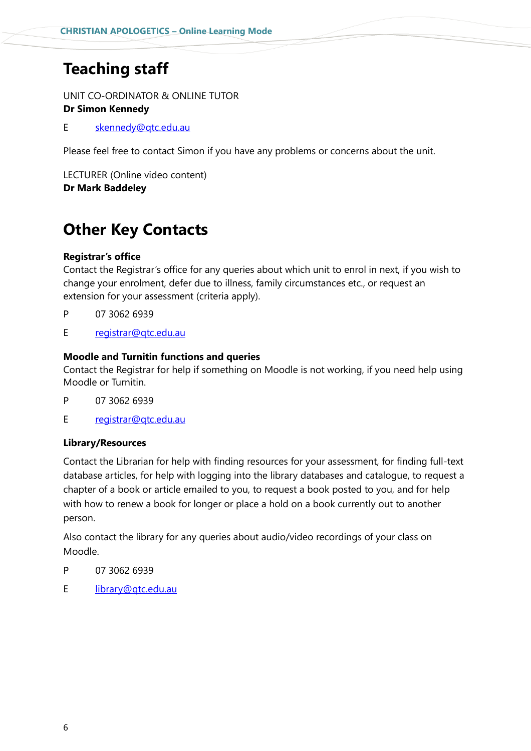## **Teaching staff**

UNIT CO-ORDINATOR & ONLINE TUTOR **Dr Simon Kennedy**

E [skennedy@qtc.edu.au](mailto:skennedy@qtc.edu.au)

Please feel free to contact Simon if you have any problems or concerns about the unit.

LECTURER (Online video content) **Dr Mark Baddeley**

## **Other Key Contacts**

### **Registrar's office**

Contact the Registrar's office for any queries about which unit to enrol in next, if you wish to change your enrolment, defer due to illness, family circumstances etc., or request an extension for your assessment (criteria apply).

- P 07 3062 6939
- E [registrar@qtc.edu.au](mailto:registrar@qtc.edu.au)

### **Moodle and Turnitin functions and queries**

Contact the Registrar for help if something on Moodle is not working, if you need help using Moodle or Turnitin.

- P 07 3062 6939
- E registrar@gtc.edu.au

### **Library/Resources**

Contact the Librarian for help with finding resources for your assessment, for finding full-text database articles, for help with logging into the library databases and catalogue, to request a chapter of a book or article emailed to you, to request a book posted to you, and for help with how to renew a book for longer or place a hold on a book currently out to another person.

Also contact the library for any queries about audio/video recordings of your class on Moodle.

- P 07 3062 6939
- E [library@qtc.edu.au](mailto:library@qtc.edu.au)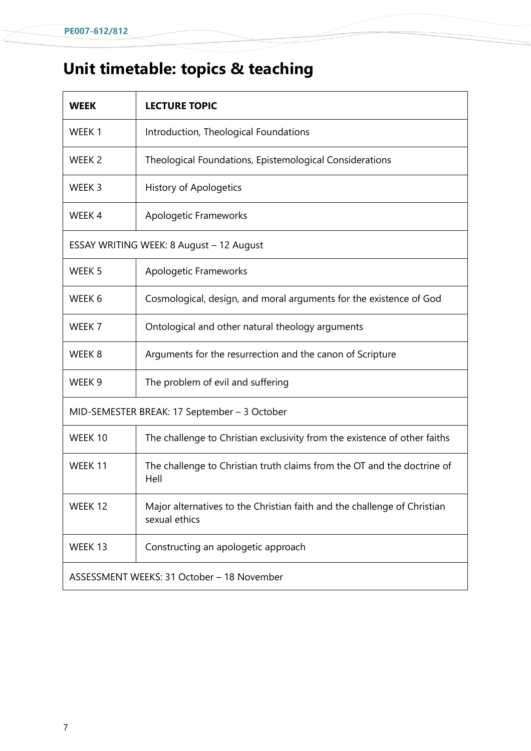## **Unit timetable: topics & teaching**

| <b>WEEK</b>                                  | <b>LECTURE TOPIC</b>                                                                      |  |
|----------------------------------------------|-------------------------------------------------------------------------------------------|--|
| WEEK 1                                       | Introduction, Theological Foundations                                                     |  |
| WEEK <sub>2</sub>                            | Theological Foundations, Epistemological Considerations                                   |  |
| WEEK 3                                       | <b>History of Apologetics</b>                                                             |  |
| WEEK 4                                       | Apologetic Frameworks                                                                     |  |
| ESSAY WRITING WEEK: 8 August - 12 August     |                                                                                           |  |
| WEEK 5                                       | Apologetic Frameworks                                                                     |  |
| WEEK 6                                       | Cosmological, design, and moral arguments for the existence of God                        |  |
| WEEK 7                                       | Ontological and other natural theology arguments                                          |  |
| WEEK <sub>8</sub>                            | Arguments for the resurrection and the canon of Scripture                                 |  |
| WEEK 9                                       | The problem of evil and suffering                                                         |  |
| MID-SEMESTER BREAK: 17 September - 3 October |                                                                                           |  |
| WEEK 10                                      | The challenge to Christian exclusivity from the existence of other faiths                 |  |
| WEEK 11                                      | The challenge to Christian truth claims from the OT and the doctrine of<br>Hell           |  |
| WEEK 12                                      | Major alternatives to the Christian faith and the challenge of Christian<br>sexual ethics |  |
| WEEK 13                                      | Constructing an apologetic approach                                                       |  |
| ASSESSMENT WEEKS: 31 October - 18 November   |                                                                                           |  |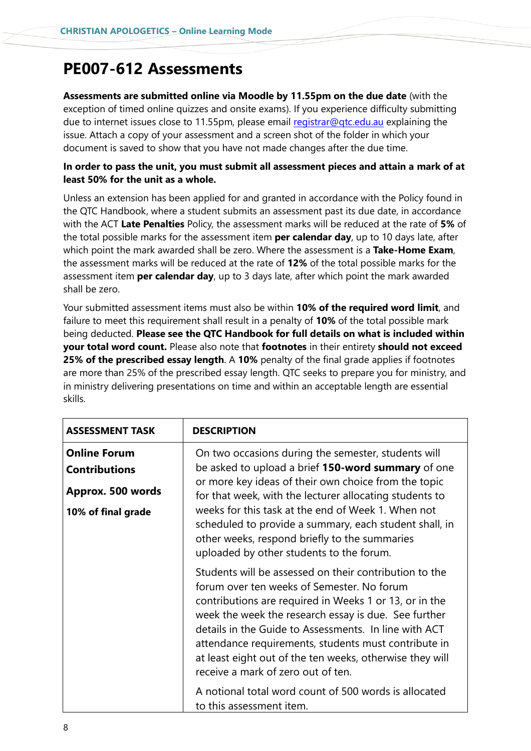## **PE007-612 Assessments**

**Assessments are submitted online via Moodle by 11.55pm on the due date** (with the exception of timed online quizzes and onsite exams). If you experience difficulty submitting due to internet issues close to 11.55pm, please email registrar@gtc.edu.au explaining the issue. Attach a copy of your assessment and a screen shot of the folder in which your document is saved to show that you have not made changes after the due time.

### **In order to pass the unit, you must submit all assessment pieces and attain a mark of at least 50% for the unit as a whole.**

Unless an extension has been applied for and granted in accordance with the Policy found in the QTC Handbook, where a student submits an assessment past its due date, in accordance with the ACT **Late Penalties** Policy, the assessment marks will be reduced at the rate of **5%** of the total possible marks for the assessment item **per calendar day**, up to 10 days late, after which point the mark awarded shall be zero. Where the assessment is a **Take-Home Exam**, the assessment marks will be reduced at the rate of **12%** of the total possible marks for the assessment item **per calendar day**, up to 3 days late, after which point the mark awarded shall be zero.

Your submitted assessment items must also be within **10% of the required word limit**, and failure to meet this requirement shall result in a penalty of **10%** of the total possible mark being deducted. **Please see the QTC Handbook for full details on what is included within your total word count.** Please also note that **footnotes** in their entirety **should not exceed 25% of the prescribed essay length**. A **10%** penalty of the final grade applies if footnotes are more than 25% of the prescribed essay length. QTC seeks to prepare you for ministry, and in ministry delivering presentations on time and within an acceptable length are essential skills.

| <b>ASSESSMENT TASK</b>                                                                 | <b>DESCRIPTION</b>                                                                                                                                                                                                                                                                                                                                                                                                                                                                                                             |  |
|----------------------------------------------------------------------------------------|--------------------------------------------------------------------------------------------------------------------------------------------------------------------------------------------------------------------------------------------------------------------------------------------------------------------------------------------------------------------------------------------------------------------------------------------------------------------------------------------------------------------------------|--|
| <b>Online Forum</b><br><b>Contributions</b><br>Approx. 500 words<br>10% of final grade | On two occasions during the semester, students will<br>be asked to upload a brief 150-word summary of one<br>or more key ideas of their own choice from the topic<br>for that week, with the lecturer allocating students to<br>weeks for this task at the end of Week 1. When not<br>scheduled to provide a summary, each student shall, in<br>other weeks, respond briefly to the summaries<br>uploaded by other students to the forum.                                                                                      |  |
|                                                                                        | Students will be assessed on their contribution to the<br>forum over ten weeks of Semester. No forum<br>contributions are required in Weeks 1 or 13, or in the<br>week the week the research essay is due. See further<br>details in the Guide to Assessments. In line with ACT<br>attendance requirements, students must contribute in<br>at least eight out of the ten weeks, otherwise they will<br>receive a mark of zero out of ten.<br>A notional total word count of 500 words is allocated<br>to this assessment item. |  |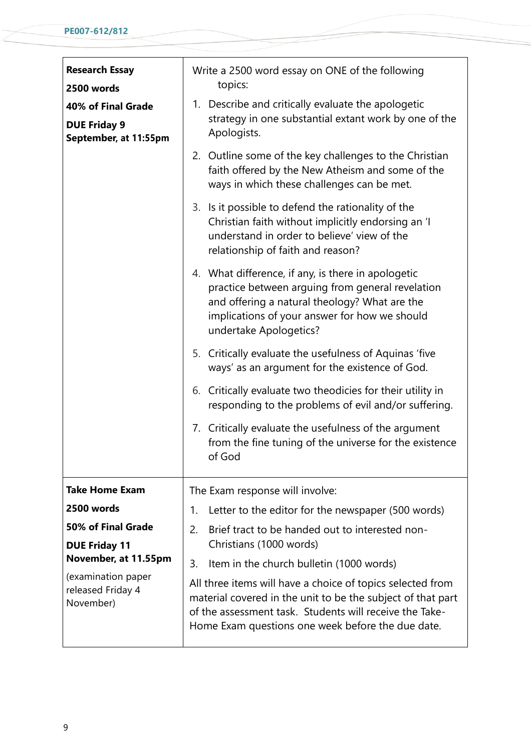| <b>Research Essay</b><br>2500 words                                | Write a 2500 word essay on ONE of the following<br>topics:                                                                                                                                                                                |  |  |
|--------------------------------------------------------------------|-------------------------------------------------------------------------------------------------------------------------------------------------------------------------------------------------------------------------------------------|--|--|
| 40% of Final Grade<br><b>DUE Friday 9</b><br>September, at 11:55pm | 1. Describe and critically evaluate the apologetic<br>strategy in one substantial extant work by one of the<br>Apologists.                                                                                                                |  |  |
|                                                                    | 2. Outline some of the key challenges to the Christian<br>faith offered by the New Atheism and some of the<br>ways in which these challenges can be met.                                                                                  |  |  |
|                                                                    | 3. Is it possible to defend the rationality of the<br>Christian faith without implicitly endorsing an 'I<br>understand in order to believe' view of the<br>relationship of faith and reason?                                              |  |  |
|                                                                    | 4. What difference, if any, is there in apologetic<br>practice between arguing from general revelation<br>and offering a natural theology? What are the<br>implications of your answer for how we should<br>undertake Apologetics?        |  |  |
|                                                                    | 5. Critically evaluate the usefulness of Aquinas 'five<br>ways' as an argument for the existence of God.                                                                                                                                  |  |  |
|                                                                    | 6. Critically evaluate two theodicies for their utility in<br>responding to the problems of evil and/or suffering.                                                                                                                        |  |  |
|                                                                    | 7. Critically evaluate the usefulness of the argument<br>from the fine tuning of the universe for the existence<br>of God                                                                                                                 |  |  |
| <b>Take Home Exam</b>                                              | The Exam response will involve:                                                                                                                                                                                                           |  |  |
| 2500 words                                                         | Letter to the editor for the newspaper (500 words)<br>1.                                                                                                                                                                                  |  |  |
| 50% of Final Grade                                                 | Brief tract to be handed out to interested non-<br>2.                                                                                                                                                                                     |  |  |
| <b>DUE Friday 11</b><br>November, at 11.55pm                       | Christians (1000 words)                                                                                                                                                                                                                   |  |  |
| (examination paper                                                 | 3.<br>Item in the church bulletin (1000 words)                                                                                                                                                                                            |  |  |
| released Friday 4<br>November)                                     | All three items will have a choice of topics selected from<br>material covered in the unit to be the subject of that part<br>of the assessment task. Students will receive the Take-<br>Home Exam questions one week before the due date. |  |  |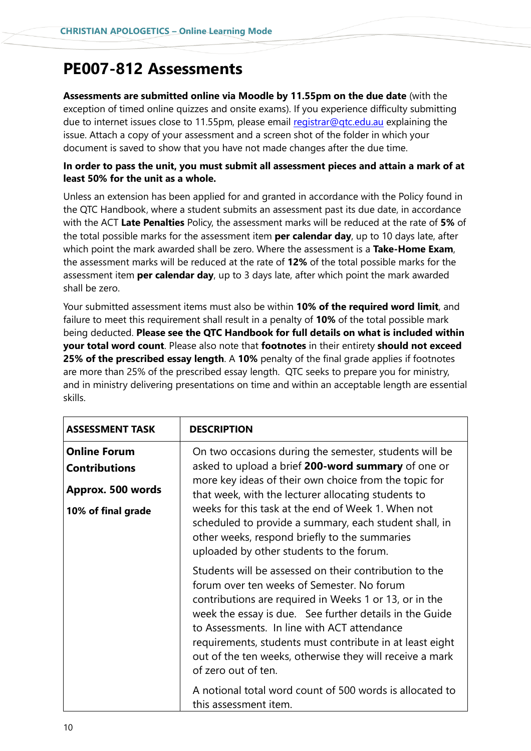## **PE007-812 Assessments**

**Assessments are submitted online via Moodle by 11.55pm on the due date** (with the exception of timed online quizzes and onsite exams). If you experience difficulty submitting due to internet issues close to 11.55pm, please email registrar@gtc.edu.au explaining the issue. Attach a copy of your assessment and a screen shot of the folder in which your document is saved to show that you have not made changes after the due time.

### **In order to pass the unit, you must submit all assessment pieces and attain a mark of at least 50% for the unit as a whole.**

Unless an extension has been applied for and granted in accordance with the Policy found in the QTC Handbook, where a student submits an assessment past its due date, in accordance with the ACT **Late Penalties** Policy, the assessment marks will be reduced at the rate of **5%** of the total possible marks for the assessment item **per calendar day**, up to 10 days late, after which point the mark awarded shall be zero. Where the assessment is a **Take-Home Exam**, the assessment marks will be reduced at the rate of **12%** of the total possible marks for the assessment item **per calendar day**, up to 3 days late, after which point the mark awarded shall be zero.

Your submitted assessment items must also be within **10% of the required word limit**, and failure to meet this requirement shall result in a penalty of **10%** of the total possible mark being deducted. **Please see the QTC Handbook for full details on what is included within your total word count**. Please also note that **footnotes** in their entirety **should not exceed 25% of the prescribed essay length**. A **10%** penalty of the final grade applies if footnotes are more than 25% of the prescribed essay length. QTC seeks to prepare you for ministry, and in ministry delivering presentations on time and within an acceptable length are essential skills.

| ASSESSMENT TASK                                                                        | <b>DESCRIPTION</b>                                                                                                                                                                                                                                                                                                                                                                                                                                                                                           |
|----------------------------------------------------------------------------------------|--------------------------------------------------------------------------------------------------------------------------------------------------------------------------------------------------------------------------------------------------------------------------------------------------------------------------------------------------------------------------------------------------------------------------------------------------------------------------------------------------------------|
| <b>Online Forum</b><br><b>Contributions</b><br>Approx. 500 words<br>10% of final grade | On two occasions during the semester, students will be<br>asked to upload a brief 200-word summary of one or<br>more key ideas of their own choice from the topic for<br>that week, with the lecturer allocating students to<br>weeks for this task at the end of Week 1. When not<br>scheduled to provide a summary, each student shall, in<br>other weeks, respond briefly to the summaries<br>uploaded by other students to the forum.                                                                    |
|                                                                                        | Students will be assessed on their contribution to the<br>forum over ten weeks of Semester. No forum<br>contributions are required in Weeks 1 or 13, or in the<br>week the essay is due. See further details in the Guide<br>to Assessments. In line with ACT attendance<br>requirements, students must contribute in at least eight<br>out of the ten weeks, otherwise they will receive a mark<br>of zero out of ten.<br>A notional total word count of 500 words is allocated to<br>this assessment item. |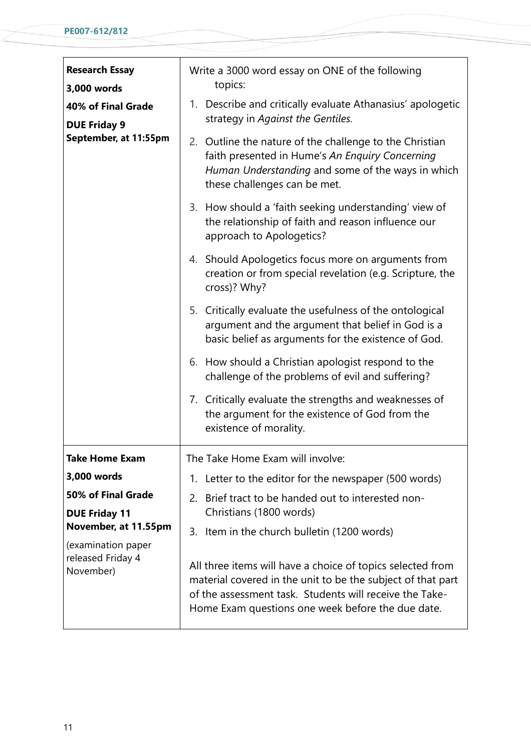| <b>Research Essay</b><br>3,000 words         | Write a 3000 word essay on ONE of the following<br>topics:                                                                                                                                                                                |  |  |
|----------------------------------------------|-------------------------------------------------------------------------------------------------------------------------------------------------------------------------------------------------------------------------------------------|--|--|
| 40% of Final Grade<br><b>DUE Friday 9</b>    | Describe and critically evaluate Athanasius' apologetic<br>1.<br>strategy in Against the Gentiles.                                                                                                                                        |  |  |
| September, at 11:55pm                        | 2. Outline the nature of the challenge to the Christian<br>faith presented in Hume's An Enquiry Concerning<br>Human Understanding and some of the ways in which<br>these challenges can be met.                                           |  |  |
|                                              | 3. How should a 'faith seeking understanding' view of<br>the relationship of faith and reason influence our<br>approach to Apologetics?                                                                                                   |  |  |
|                                              | 4. Should Apologetics focus more on arguments from<br>creation or from special revelation (e.g. Scripture, the<br>cross)? Why?                                                                                                            |  |  |
|                                              | 5. Critically evaluate the usefulness of the ontological<br>argument and the argument that belief in God is a<br>basic belief as arguments for the existence of God.                                                                      |  |  |
|                                              | How should a Christian apologist respond to the<br>6.<br>challenge of the problems of evil and suffering?                                                                                                                                 |  |  |
|                                              | 7. Critically evaluate the strengths and weaknesses of<br>the argument for the existence of God from the<br>existence of morality.                                                                                                        |  |  |
| <b>Take Home Exam</b>                        | The Take Home Exam will involve:                                                                                                                                                                                                          |  |  |
| 3,000 words                                  | Letter to the editor for the newspaper (500 words)<br>1.                                                                                                                                                                                  |  |  |
| 50% of Final Grade                           | Brief tract to be handed out to interested non-<br>2.                                                                                                                                                                                     |  |  |
| <b>DUE Friday 11</b><br>November, at 11.55pm | Christians (1800 words)                                                                                                                                                                                                                   |  |  |
| (examination paper                           | Item in the church bulletin (1200 words)<br>3.                                                                                                                                                                                            |  |  |
| released Friday 4<br>November)               | All three items will have a choice of topics selected from<br>material covered in the unit to be the subject of that part<br>of the assessment task. Students will receive the Take-<br>Home Exam questions one week before the due date. |  |  |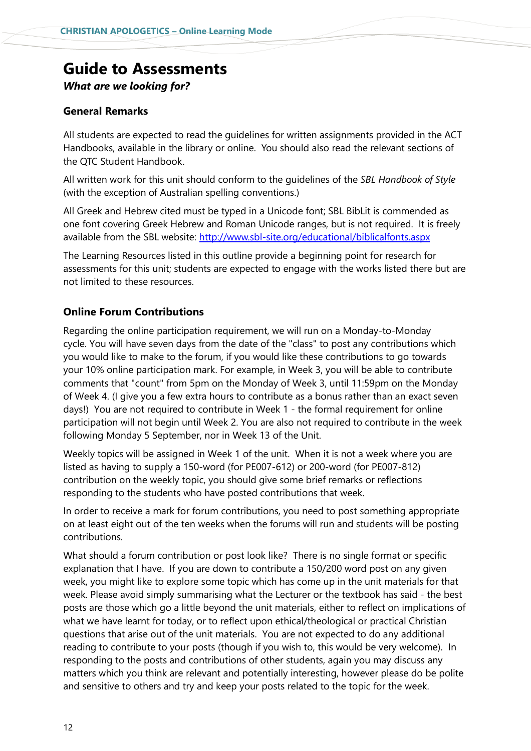## **Guide to Assessments**

*What are we looking for?*

### **General Remarks**

All students are expected to read the guidelines for written assignments provided in the ACT Handbooks, available in the library or online. You should also read the relevant sections of the QTC Student Handbook.

All written work for this unit should conform to the guidelines of the *SBL Handbook of Style*  (with the exception of Australian spelling conventions.)

All Greek and Hebrew cited must be typed in a Unicode font; SBL BibLit is commended as one font covering Greek Hebrew and Roman Unicode ranges, but is not required. It is freely available from the SBL website:<http://www.sbl-site.org/educational/biblicalfonts.aspx>

The Learning Resources listed in this outline provide a beginning point for research for assessments for this unit; students are expected to engage with the works listed there but are not limited to these resources.

### **Online Forum Contributions**

Regarding the online participation requirement, we will run on a Monday-to-Monday cycle. You will have seven days from the date of the "class" to post any contributions which you would like to make to the forum, if you would like these contributions to go towards your 10% online participation mark. For example, in Week 3, you will be able to contribute comments that "count" from 5pm on the Monday of Week 3, until 11:59pm on the Monday of Week 4. (I give you a few extra hours to contribute as a bonus rather than an exact seven days!) You are not required to contribute in Week 1 - the formal requirement for online participation will not begin until Week 2. You are also not required to contribute in the week following Monday 5 September, nor in Week 13 of the Unit.

Weekly topics will be assigned in Week 1 of the unit. When it is not a week where you are listed as having to supply a 150-word (for PE007-612) or 200-word (for PE007-812) contribution on the weekly topic, you should give some brief remarks or reflections responding to the students who have posted contributions that week.

In order to receive a mark for forum contributions, you need to post something appropriate on at least eight out of the ten weeks when the forums will run and students will be posting contributions.

What should a forum contribution or post look like? There is no single format or specific explanation that I have. If you are down to contribute a 150/200 word post on any given week, you might like to explore some topic which has come up in the unit materials for that week. Please avoid simply summarising what the Lecturer or the textbook has said - the best posts are those which go a little beyond the unit materials, either to reflect on implications of what we have learnt for today, or to reflect upon ethical/theological or practical Christian questions that arise out of the unit materials. You are not expected to do any additional reading to contribute to your posts (though if you wish to, this would be very welcome). In responding to the posts and contributions of other students, again you may discuss any matters which you think are relevant and potentially interesting, however please do be polite and sensitive to others and try and keep your posts related to the topic for the week.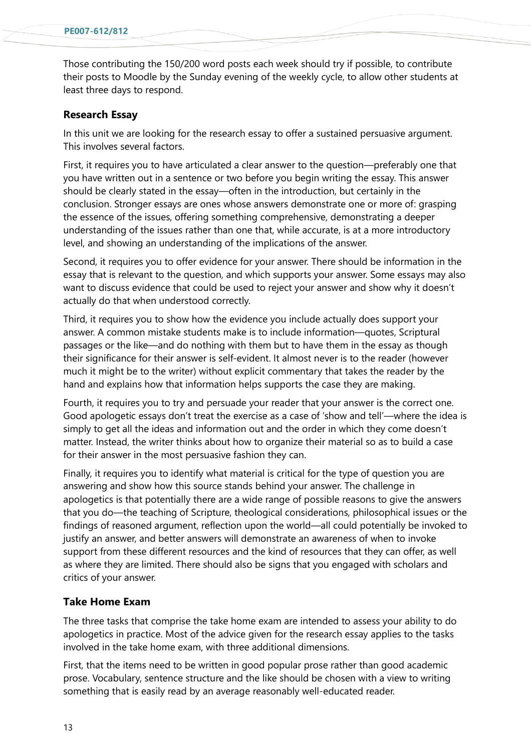Those contributing the 150/200 word posts each week should try if possible, to contribute their posts to Moodle by the Sunday evening of the weekly cycle, to allow other students at least three days to respond.

### **Research Essay**

In this unit we are looking for the research essay to offer a sustained persuasive argument. This involves several factors.

First, it requires you to have articulated a clear answer to the question—preferably one that you have written out in a sentence or two before you begin writing the essay. This answer should be clearly stated in the essay—often in the introduction, but certainly in the conclusion. Stronger essays are ones whose answers demonstrate one or more of: grasping the essence of the issues, offering something comprehensive, demonstrating a deeper understanding of the issues rather than one that, while accurate, is at a more introductory level, and showing an understanding of the implications of the answer.

Second, it requires you to offer evidence for your answer. There should be information in the essay that is relevant to the question, and which supports your answer. Some essays may also want to discuss evidence that could be used to reject your answer and show why it doesn't actually do that when understood correctly.

Third, it requires you to show how the evidence you include actually does support your answer. A common mistake students make is to include information—quotes, Scriptural passages or the like—and do nothing with them but to have them in the essay as though their significance for their answer is self-evident. It almost never is to the reader (however much it might be to the writer) without explicit commentary that takes the reader by the hand and explains how that information helps supports the case they are making.

Fourth, it requires you to try and persuade your reader that your answer is the correct one. Good apologetic essays don't treat the exercise as a case of 'show and tell'—where the idea is simply to get all the ideas and information out and the order in which they come doesn't matter. Instead, the writer thinks about how to organize their material so as to build a case for their answer in the most persuasive fashion they can.

Finally, it requires you to identify what material is critical for the type of question you are answering and show how this source stands behind your answer. The challenge in apologetics is that potentially there are a wide range of possible reasons to give the answers that you do—the teaching of Scripture, theological considerations, philosophical issues or the findings of reasoned argument, reflection upon the world—all could potentially be invoked to justify an answer, and better answers will demonstrate an awareness of when to invoke support from these different resources and the kind of resources that they can offer, as well as where they are limited. There should also be signs that you engaged with scholars and critics of your answer.

### **Take Home Exam**

The three tasks that comprise the take home exam are intended to assess your ability to do apologetics in practice. Most of the advice given for the research essay applies to the tasks involved in the take home exam, with three additional dimensions.

First, that the items need to be written in good popular prose rather than good academic prose. Vocabulary, sentence structure and the like should be chosen with a view to writing something that is easily read by an average reasonably well-educated reader.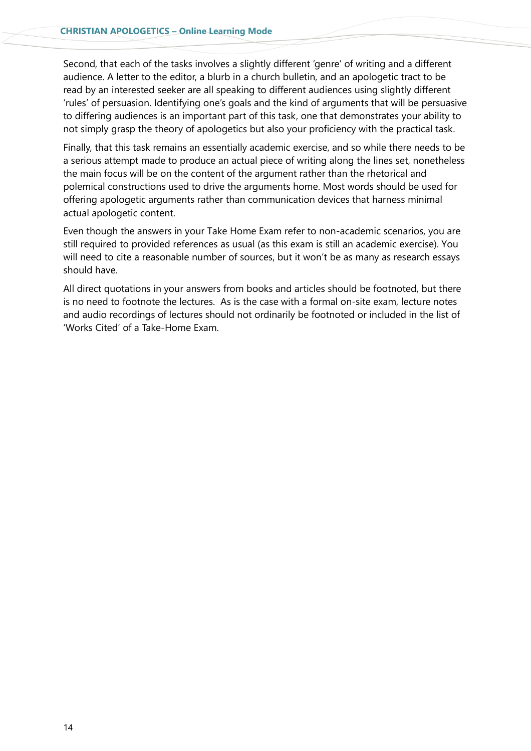Second, that each of the tasks involves a slightly different 'genre' of writing and a different audience. A letter to the editor, a blurb in a church bulletin, and an apologetic tract to be read by an interested seeker are all speaking to different audiences using slightly different 'rules' of persuasion. Identifying one's goals and the kind of arguments that will be persuasive to differing audiences is an important part of this task, one that demonstrates your ability to not simply grasp the theory of apologetics but also your proficiency with the practical task.

Finally, that this task remains an essentially academic exercise, and so while there needs to be a serious attempt made to produce an actual piece of writing along the lines set, nonetheless the main focus will be on the content of the argument rather than the rhetorical and polemical constructions used to drive the arguments home. Most words should be used for offering apologetic arguments rather than communication devices that harness minimal actual apologetic content.

Even though the answers in your Take Home Exam refer to non-academic scenarios, you are still required to provided references as usual (as this exam is still an academic exercise). You will need to cite a reasonable number of sources, but it won't be as many as research essays should have.

All direct quotations in your answers from books and articles should be footnoted, but there is no need to footnote the lectures. As is the case with a formal on-site exam, lecture notes and audio recordings of lectures should not ordinarily be footnoted or included in the list of 'Works Cited' of a Take-Home Exam.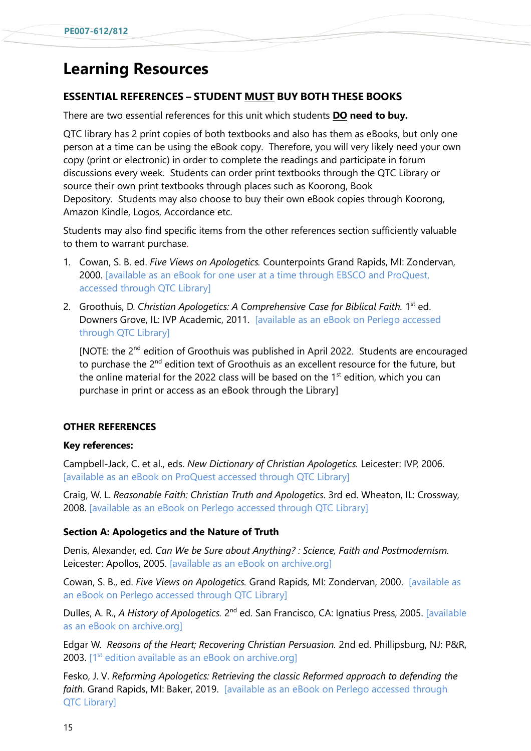## **Learning Resources**

### **ESSENTIAL REFERENCES – STUDENT MUST BUY BOTH THESE BOOKS**

There are two essential references for this unit which students **DO need to buy.**

QTC library has 2 print copies of both textbooks and also has them as eBooks, but only one person at a time can be using the eBook copy. Therefore, you will very likely need your own copy (print or electronic) in order to complete the readings and participate in forum discussions every week. Students can order print textbooks through the QTC Library or source their own print textbooks through places such as Koorong, Book Depository. Students may also choose to buy their own eBook copies through Koorong, Amazon Kindle, Logos, Accordance etc.

Students may also find specific items from the other references section sufficiently valuable to them to warrant purchase.

- 1. Cowan, S. B. ed. *Five Views on Apologetics.* Counterpoints Grand Rapids, MI: Zondervan, 2000. [available as an eBook for one user at a time through EBSCO and ProQuest, accessed through QTC Library]
- 2. Groothuis, D. Christian Apologetics: A Comprehensive Case for Biblical Faith. 1<sup>st</sup> ed. Downers Grove, IL: IVP Academic, 2011. [available as an eBook on Perlego accessed through QTC Library]

[NOTE: the 2<sup>nd</sup> edition of Groothuis was published in April 2022. Students are encouraged to purchase the 2<sup>nd</sup> edition text of Groothuis as an excellent resource for the future, but the online material for the 2022 class will be based on the  $1<sup>st</sup>$  edition, which you can purchase in print or access as an eBook through the Library]

### **OTHER REFERENCES**

### **Key references:**

Campbell-Jack, C. et al., eds. *New Dictionary of Christian Apologetics.* Leicester: IVP, 2006. [available as an eBook on ProQuest accessed through QTC Library]

Craig, W. L. *Reasonable Faith: Christian Truth and Apologetics*. 3rd ed. Wheaton, IL: Crossway, 2008. [available as an eBook on Perlego accessed through QTC Library]

### **Section A: Apologetics and the Nature of Truth**

Denis, Alexander, ed. *Can We be Sure about Anything? : Science, Faith and Postmodernism.*  Leicester: Apollos, 2005. [available as an eBook on archive.org]

Cowan, S. B., ed. *Five Views on Apologetics.* Grand Rapids, MI: Zondervan, 2000. [available as an eBook on Perlego accessed through QTC Library]

Dulles, A. R., A History of Apologetics. 2<sup>nd</sup> ed. San Francisco, CA: Ignatius Press, 2005. [available as an eBook on archive.org]

Edgar W. *Reasons of the Heart; Recovering Christian Persuasion.* 2nd ed. Phillipsburg, NJ: P&R, 2003.  $1^{st}$  edition available as an eBook on archive.org]

Fesko, J. V. *Reforming Apologetics: Retrieving the classic Reformed approach to defending the faith*. Grand Rapids, MI: Baker, 2019. [available as an eBook on Perlego accessed through QTC Library]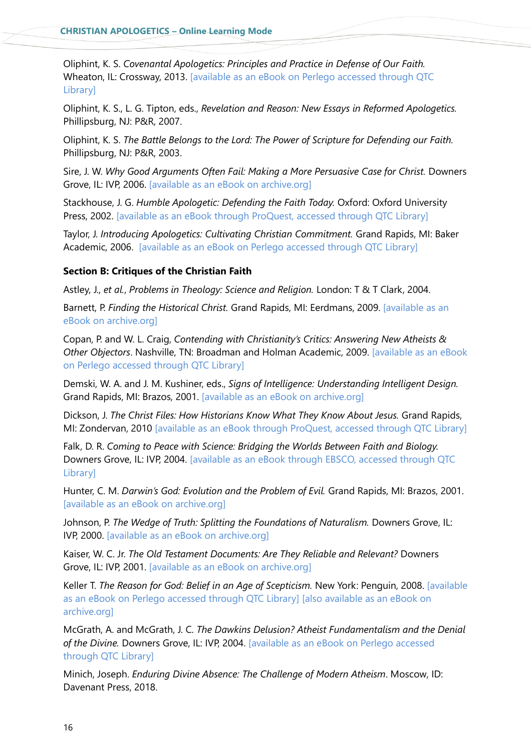Oliphint, K. S. *Covenantal Apologetics: Principles and Practice in Defense of Our Faith.*  Wheaton, IL: Crossway, 2013. [available as an eBook on Perlego accessed through QTC Library]

Oliphint, K. S., L. G. Tipton, eds., *Revelation and Reason: New Essays in Reformed Apologetics.*  Phillipsburg, NJ: P&R, 2007.

Oliphint, K. S. *The Battle Belongs to the Lord: The Power of Scripture for Defending our Faith.*  Phillipsburg, NJ: P&R, 2003.

Sire, J. W. *Why Good Arguments Often Fail: Making a More Persuasive Case for Christ.* Downers Grove, IL: IVP, 2006. [available as an eBook on archive.org]

Stackhouse, J. G. *Humble Apologetic: Defending the Faith Today.* Oxford: Oxford University Press, 2002. [available as an eBook through ProQuest, accessed through QTC Library]

Taylor, J. *Introducing Apologetics: Cultivating Christian Commitment.* Grand Rapids, MI: Baker Academic, 2006. [available as an eBook on Perlego accessed through QTC Library]

### **Section B: Critiques of the Christian Faith**

Astley, J., *et al.*, *Problems in Theology: Science and Religion.* London: T & T Clark, 2004.

Barnett, P. *Finding the Historical Christ.* Grand Rapids, MI: Eerdmans, 2009. [available as an eBook on archive.org]

Copan, P. and W. L. Craig, *Contending with Christianity's Critics: Answering New Atheists & Other Objectors*. Nashville, TN: Broadman and Holman Academic, 2009. [available as an eBook on Perlego accessed through QTC Library]

Demski, W. A. and J. M. Kushiner, eds., *Signs of Intelligence: Understanding Intelligent Design.*  Grand Rapids, MI: Brazos, 2001. [available as an eBook on archive.org]

Dickson, J. *The Christ Files: How Historians Know What They Know About Jesus.* Grand Rapids, MI: Zondervan, 2010 [available as an eBook through ProQuest, accessed through QTC Library]

Falk, D. R. *Coming to Peace with Science: Bridging the Worlds Between Faith and Biology.*  Downers Grove, IL: IVP, 2004. [available as an eBook through EBSCO, accessed through QTC Library]

Hunter, C. M. *Darwin's God: Evolution and the Problem of Evil.* Grand Rapids, MI: Brazos, 2001. [available as an eBook on archive.org]

Johnson, P. The Wedge of Truth: Splitting the Foundations of Naturalism. Downers Grove, IL: IVP, 2000. [available as an eBook on archive.org]

Kaiser, W. C. Jr. *The Old Testament Documents: Are They Reliable and Relevant?* Downers Grove, IL: IVP, 2001. [available as an eBook on archive.org]

Keller T. *The Reason for God: Belief in an Age of Scepticism.* New York: Penguin, 2008. [available as an eBook on Perlego accessed through QTC Library] [also available as an eBook on archive.org]

McGrath, A. and McGrath, J. C. *The Dawkins Delusion? Atheist Fundamentalism and the Denial of the Divine.* Downers Grove, IL: IVP, 2004. [available as an eBook on Perlego accessed through QTC Library]

Minich, Joseph. *Enduring Divine Absence: The Challenge of Modern Atheism*. Moscow, ID: Davenant Press, 2018.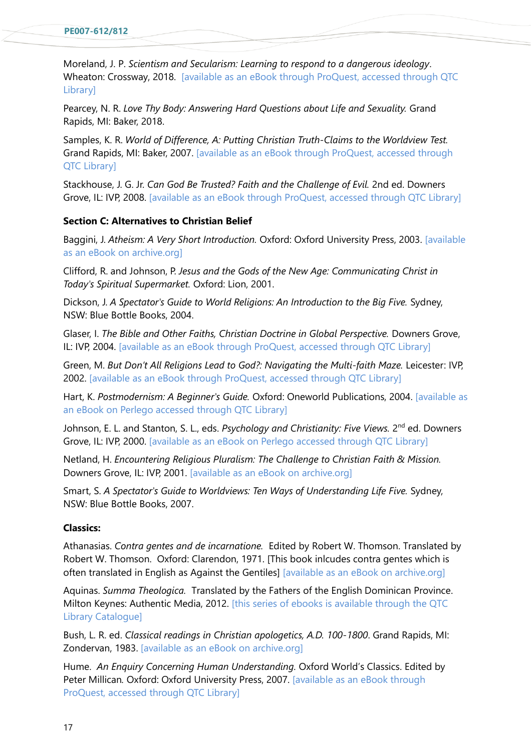Moreland, J. P. *Scientism and Secularism: Learning to respond to a dangerous ideology*. Wheaton: Crossway, 2018. [available as an eBook through ProQuest, accessed through QTC Library]

Pearcey, N. R. Love Thy Body: Answering Hard Questions about Life and Sexuality. Grand Rapids, MI: Baker, 2018.

Samples, K. R. *World of Difference, A: Putting Christian Truth-Claims to the Worldview Test.*  Grand Rapids, MI: Baker, 2007. [available as an eBook through ProQuest, accessed through QTC Library]

Stackhouse, J. G. Jr. *Can God Be Trusted? Faith and the Challenge of Evil.* 2nd ed. Downers Grove, IL: IVP, 2008. [available as an eBook through ProQuest, accessed through QTC Library]

### **Section C: Alternatives to Christian Belief**

Baggini, J. *Atheism: A Very Short Introduction.* Oxford: Oxford University Press, 2003. [available as an eBook on archive.org]

Clifford, R. and Johnson, P. *Jesus and the Gods of the New Age: Communicating Christ in Today's Spiritual Supermarket.* Oxford: Lion, 2001.

Dickson, J. *A Spectator's Guide to World Religions: An Introduction to the Big Five.* Sydney, NSW: Blue Bottle Books, 2004.

Glaser, I. *The Bible and Other Faiths, Christian Doctrine in Global Perspective.* Downers Grove, IL: IVP, 2004. [available as an eBook through ProQuest, accessed through QTC Library]

Green, M. *But Don't All Religions Lead to God?: Navigating the Multi-faith Maze.* Leicester: IVP, 2002. [available as an eBook through ProQuest, accessed through QTC Library]

Hart, K. *Postmodernism: A Beginner's Guide.* Oxford: Oneworld Publications, 2004. [available as an eBook on Perlego accessed through QTC Library]

Johnson, E. L. and Stanton, S. L., eds. Psychology and Christianity: Five Views. 2<sup>nd</sup> ed. Downers Grove, IL: IVP, 2000. [available as an eBook on Perlego accessed through QTC Library]

Netland, H. *Encountering Religious Pluralism: The Challenge to Christian Faith & Mission.*  Downers Grove, IL: IVP, 2001. [available as an eBook on archive.org]

Smart, S. *A Spectator's Guide to Worldviews: Ten Ways of Understanding Life Five.* Sydney, NSW: Blue Bottle Books, 2007.

### **Classics:**

Athanasias. *Contra gentes and de incarnatione.* Edited by Robert W. Thomson. Translated by Robert W. Thomson. Oxford: Clarendon, 1971. [This book inlcudes contra gentes which is often translated in English as Against the Gentiles] [available as an eBook on archive.org]

Aquinas. *Summa Theologica.* Translated by the Fathers of the English Dominican Province. Milton Keynes: Authentic Media, 2012. [this series of ebooks is available through the QTC Library Catalogue]

Bush, L. R. ed. *Classical readings in Christian apologetics, A.D. 100-1800*. Grand Rapids, MI: Zondervan, 1983. [available as an eBook on archive.org]

Hume. *An Enquiry Concerning Human Understanding.* Oxford World's Classics. Edited by Peter Millican*.* Oxford: Oxford University Press, 2007. [available as an eBook through ProQuest, accessed through QTC Library]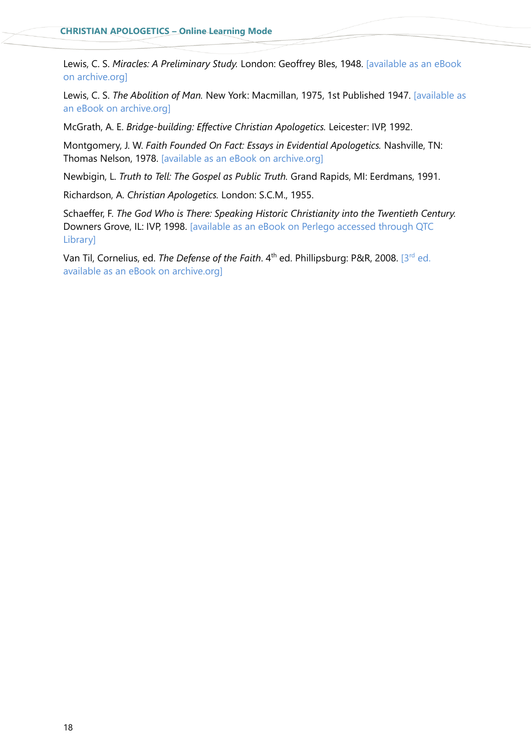Lewis, C. S. *Miracles: A Preliminary Study.* London: Geoffrey Bles, 1948. [available as an eBook on archive.org]

Lewis, C. S. *The Abolition of Man.* New York: Macmillan, 1975, 1st Published 1947. [available as an eBook on archive.org]

McGrath, A. E. *Bridge-building: Effective Christian Apologetics.* Leicester: IVP, 1992.

Montgomery, J. W. *Faith Founded On Fact: Essays in Evidential Apologetics.* Nashville, TN: Thomas Nelson, 1978. [available as an eBook on archive.org]

Newbigin, L. *Truth to Tell: The Gospel as Public Truth.* Grand Rapids, MI: Eerdmans, 1991.

Richardson, A. *Christian Apologetics.* London: S.C.M., 1955.

Schaeffer, F. *The God Who is There: Speaking Historic Christianity into the Twentieth Century.*  Downers Grove, IL: IVP, 1998. [available as an eBook on Perlego accessed through QTC Library]

Van Til, Cornelius, ed. *The Defense of the Faith*. 4<sup>th</sup> ed. Phillipsburg: P&R, 2008. [3<sup>rd</sup> ed. available as an eBook on archive.org]